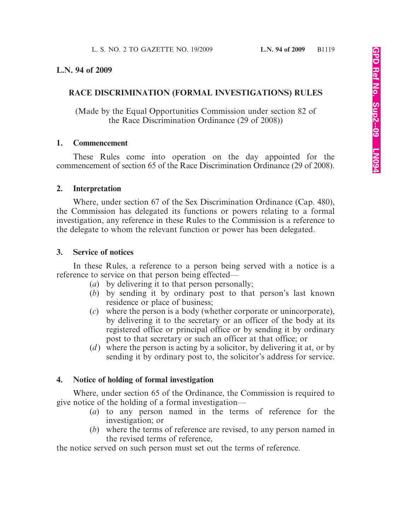## **L.N. 94 of 2009**

## **RACE DISCRIMINATION (FORMAL INVESTIGATIONS) RULES**

(Made by the Equal Opportunities Commission under section 82 of the Race Discrimination Ordinance (29 of 2008))

#### **1. Commencement**

These Rules come into operation on the day appointed for the commencement of section 65 of the Race Discrimination Ordinance (29 of 2008).

#### **2. Interpretation**

Where, under section 67 of the Sex Discrimination Ordinance (Cap. 480), the Commission has delegated its functions or powers relating to a formal investigation, any reference in these Rules to the Commission is a reference to the delegate to whom the relevant function or power has been delegated.

#### **3. Service of notices**

In these Rules, a reference to a person being served with a notice is a reference to service on that person being effected—

- (*a*) by delivering it to that person personally;
- (*b*) by sending it by ordinary post to that person's last known residence or place of business;
- (*c*) where the person is a body (whether corporate or unincorporate), by delivering it to the secretary or an officer of the body at its registered office or principal office or by sending it by ordinary post to that secretary or such an officer at that office; or
- (*d*) where the person is acting by a solicitor, by delivering it at, or by sending it by ordinary post to, the solicitor's address for service.

#### **4. Notice of holding of formal investigation**

Where, under section 65 of the Ordinance, the Commission is required to give notice of the holding of a formal investigation—

- (*a*) to any person named in the terms of reference for the investigation; or
- (*b*) where the terms of reference are revised, to any person named in the revised terms of reference,

the notice served on such person must set out the terms of reference.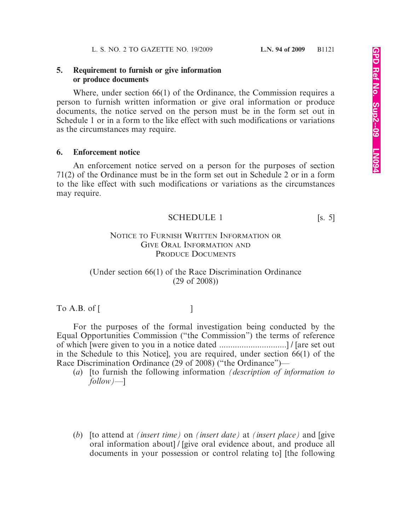## **5. Requirement to furnish or give information or produce documents**

Where, under section 66(1) of the Ordinance, the Commission requires a person to furnish written information or give oral information or produce documents, the notice served on the person must be in the form set out in Schedule 1 or in a form to the like effect with such modifications or variations as the circumstances may require.

## **6. Enforcement notice**

An enforcement notice served on a person for the purposes of section 71(2) of the Ordinance must be in the form set out in Schedule 2 or in a form to the like effect with such modifications or variations as the circumstances may require.

$$
SCHEDULE 1
$$
 [s. 5]

## NOTICE TO FURNISH WRITTEN INFORMATION OR GIVE ORAL INFORMATION AND PRODUCE DOCUMENTS

# (Under section 66(1) of the Race Discrimination Ordinance (29 of 2008))

 $To A.B. of [$ 

For the purposes of the formal investigation being conducted by the Equal Opportunities Commission ("the Commission") the terms of reference of which [were given to you in a notice dated ..............................] / [are set out in the Schedule to this Notice], you are required, under section 66(1) of the Race Discrimination Ordinance (29 of 2008) ("the Ordinance")—

- (*a*) [to furnish the following information *(description of information to follow)*—]
- (*b*) [to attend at *(insert time)* on *(insert date)* at *(insert place)* and [give oral information about] / [give oral evidence about, and produce all documents in your possession or control relating to] [the following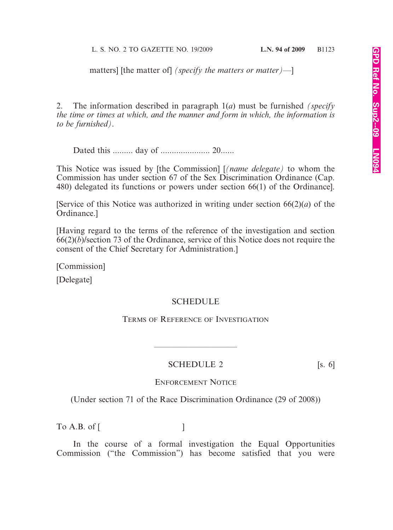matters] [the matter of] *(specify the matters or matter)*—]

2. The information described in paragraph 1(*a*) must be furnished *(specify the time or times at which, and the manner and form in which, the information is to be furnished)*.

Dated this ......... day of ...................... 20......

This Notice was issued by [the Commission] [*(name delegate)* to whom the Commission has under section 67 of the Sex Discrimination Ordinance (Cap. 480) delegated its functions or powers under section 66(1) of the Ordinance].

[Service of this Notice was authorized in writing under section 66(2)(*a*) of the Ordinance.]

[Having regard to the terms of the reference of the investigation and section 66(2)(*b*)/section 73 of the Ordinance, service of this Notice does not require the consent of the Chief Secretary for Administration.]

[Commission]

[Delegate]

#### **SCHEDULE**

TERMS OF REFERENCE OF INVESTIGATION

## SCHEDULE 2 [s. 6]

————————————————————

ENFORCEMENT NOTICE

(Under section 71 of the Race Discrimination Ordinance (29 of 2008))

 $\begin{bmatrix} 1 & 0 & 0 \\ 0 & 0 & 0 \\ 0 & 0 & 0 \\ 0 & 0 & 0 \\ 0 & 0 & 0 \\ 0 & 0 & 0 \\ 0 & 0 & 0 \\ 0 & 0 & 0 \\ 0 & 0 & 0 \\ 0 & 0 & 0 \\ 0 & 0 & 0 \\ 0 & 0 & 0 \\ 0 & 0 & 0 \\ 0 & 0 & 0 & 0 \\ 0 & 0 & 0 & 0 \\ 0 & 0 & 0 & 0 \\ 0 & 0 & 0 & 0 & 0 \\ 0 & 0 & 0 & 0 & 0 \\ 0 & 0 & 0 & 0 & 0 \\ 0 & 0 & 0 & 0 & 0 &$ 

In the course of a formal investigation the Equal Opportunities Commission ("the Commission") has become satisfied that you were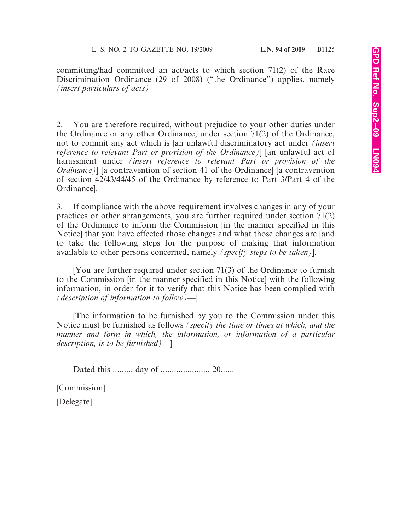committing/had committed an act/acts to which section 71(2) of the Race Discrimination Ordinance (29 of 2008) ("the Ordinance") applies, namely *(insert particulars of acts)*—

2. You are therefore required, without prejudice to your other duties under the Ordinance or any other Ordinance, under section 71(2) of the Ordinance, not to commit any act which is [an unlawful discriminatory act under *(insert reference to relevant Part or provision of the Ordinance)*] [an unlawful act of harassment under *(insert reference to relevant Part or provision of the Ordinance*)] [a contravention of section 41 of the Ordinance] [a contravention of section 42/43/44/45 of the Ordinance by reference to Part 3/Part 4 of the Ordinance].

3. If compliance with the above requirement involves changes in any of your practices or other arrangements, you are further required under section 71(2) of the Ordinance to inform the Commission [in the manner specified in this Notice] that you have effected those changes and what those changes are [and to take the following steps for the purpose of making that information available to other persons concerned, namely *(specify steps to be taken)*].

[You are further required under section 71(3) of the Ordinance to furnish to the Commission [in the manner specified in this Notice] with the following information, in order for it to verify that this Notice has been complied with *(description of information to follow)*—]

[The information to be furnished by you to the Commission under this Notice must be furnished as follows *(specify the time or times at which, and the manner and form in which, the information, or information of a particular description, is to be furnished)*—]

Dated this ......... day of ...................... 20......

[Commission]

[Delegate]